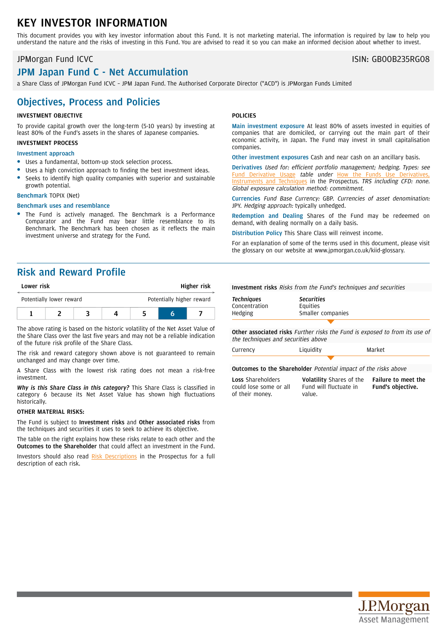# KEY INVESTOR INFORMATION

This document provides you with key investor information about this Fund. It is not marketing material. The information is required by law to help you understand the nature and the risks of investing in this Fund. You are advised to read it so you can make an informed decision about whether to invest.

### JPMorgan Fund ICVC ISIN: GB00B235RG08

# JPM Japan Fund C - Net Accumulation

a Share Class of JPMorgan Fund ICVC – JPM Japan Fund. The Authorised Corporate Director ("ACD") is JPMorgan Funds Limited

## Objectives, Process and Policies

#### INVESTMENT OBJECTIVE

To provide capital growth over the long-term (5-10 years) by investing at least 80% of the Fund's assets in the shares of Japanese companies.

### INVESTMENT PROCESS

### Investment approach

- Uses a fundamental, bottom-up stock selection process.
- Uses a high conviction approach to finding the best investment ideas. Seeks to identify high quality companies with superior and sustainable
- growth potential.

### Benchmark TOPIX (Net)

#### Benchmark uses and resemblance

The Fund is actively managed. The Benchmark is a Performance Comparator and the Fund may bear little resemblance to its Benchmark. The Benchmark has been chosen as it reflects the main investment universe and strategy for the Fund.

#### POLICIES

Main investment exposure At least 80% of assets invested in equities of companies that are domiciled, or carrying out the main part of their economic activity, in Japan. The Fund may invest in small capitalisation companies.

Other investment exposures Cash and near cash on an ancillary basis.

Derivatives Used for: efficient portfolio management; hedging. Types: see Fund [Derivative](https://am.jpmorgan.com/gb/en/asset-management/adv/products/fund-explorer/oeics) Usage table under How the Funds Use [Derivatives,](https://am.jpmorgan.com/gb/en/asset-management/adv/products/fund-explorer/oeics) [Instruments](https://am.jpmorgan.com/gb/en/asset-management/adv/products/fund-explorer/oeics) and Techniques in the Prospectus. TRS including CFD: none. Global exposure calculation method: commitment.

Currencies Fund Base Currency: GBP. Currencies of asset denomination: JPY. Hedging approach: typically unhedged.

Redemption and Dealing Shares of the Fund may be redeemed on demand, with dealing normally on a daily basis.

Distribution Policy This Share Class will reinvest income.

For an explanation of some of the terms used in this document, please visit the glossary on our website at [www.jpmorgan.co.uk/kiid-glossary.](www.jpmorgan.co.uk/kiid-glossary)

## Risk and Reward Profile

| Lower risk               |  |  | Higher risk |                           |  |  |
|--------------------------|--|--|-------------|---------------------------|--|--|
| Potentially lower reward |  |  |             | Potentially higher reward |  |  |
|                          |  |  |             |                           |  |  |

The above rating is based on the historic volatility of the Net Asset Value of the Share Class over the last five years and may not be a reliable indication of the future risk profile of the Share Class.

The risk and reward category shown above is not guaranteed to remain unchanged and may change over time.

A Share Class with the lowest risk rating does not mean a risk-free investment.

*Why is this Share Class in this category?* This Share Class is classified in category 6 because its Net Asset Value has shown high fluctuations historically.

#### OTHER MATERIAL RISKS:

The Fund is subject to Investment risks and Other associated risks from the techniques and securities it uses to seek to achieve its objective.

The table on the right explains how these risks relate to each other and the Outcomes to the Shareholder that could affect an investment in the Fund.

Investors should also read Risk [Descriptions](https://am.jpmorgan.com/gb/en/asset-management/adv/products/fund-explorer/oeics) in the Prospectus for a full description of each risk.

Investment risks Risks from the Fund's techniques and securities

| <b>Techniques</b> | <b>Securities</b> |  |  |
|-------------------|-------------------|--|--|
| Concentration     | Equities          |  |  |
| Hedging           | Smaller companies |  |  |
|                   |                   |  |  |

Other associated risks Further risks the Fund is exposed to from its use of the techniques and securities above

| Currency | Liquidity | Market |
|----------|-----------|--------|
|          |           |        |

Fund will fluctuate in

Outcomes to the Shareholder Potential impact of the risks above

value.

Loss Shareholders could lose some or all of their money.

Volatility Shares of the Failure to meet the Fund's objective.